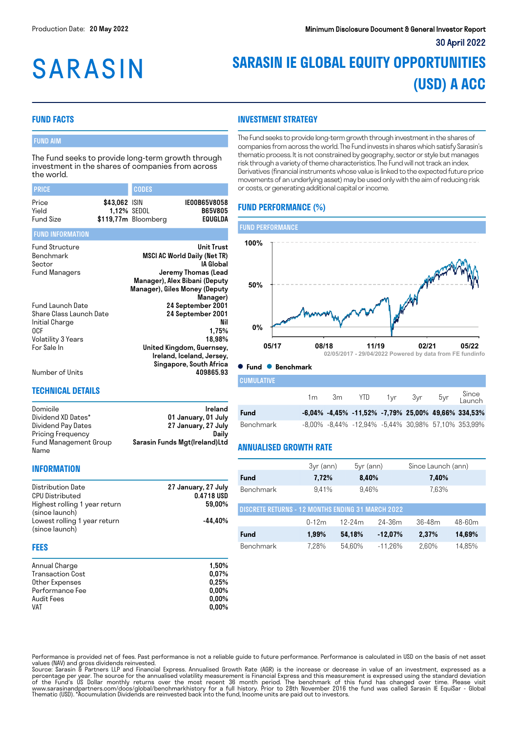# **SARASIN**

# **SARASIN IE GLOBAL EQUITY OPPORTUNITIES (USD) A ACC**

#### **FUND FACTS**

#### FUND AIM

The Fund seeks to provide long-term growth through investment in the shares of companies from across the world.

| <b>PRICE</b>                                                                                                     |               | <b>CODES</b>                                                                                                               |                                                                                                                                                                            |  |
|------------------------------------------------------------------------------------------------------------------|---------------|----------------------------------------------------------------------------------------------------------------------------|----------------------------------------------------------------------------------------------------------------------------------------------------------------------------|--|
| Price<br>Yield<br>Fund Size                                                                                      | \$43,062 ISIN | 1,12% SEDOL<br>\$119,77m Bloomberg                                                                                         | IE00B65V8058<br><b>B65V805</b><br>EQUGLDA                                                                                                                                  |  |
| <b>FUND INFORMATION</b>                                                                                          |               |                                                                                                                            |                                                                                                                                                                            |  |
| <b>Fund Structure</b><br>Benchmark<br>Sector<br>Fund Managers                                                    |               |                                                                                                                            | <b>Unit Trust</b><br><b>MSCI AC World Daily (Net TR)</b><br>IA Global<br>Jeremy Thomas (Lead<br>Manager), Alex Bibani (Deputy<br>Manager), Giles Money (Deputy<br>Manager) |  |
| <b>Fund Launch Date</b><br>Share Class Launch Date<br>Initial Charge<br>0CF<br>Volatility 3 Years<br>For Sale In |               | 24 September 2001<br>24 September 2001<br>Nil<br>1,75%<br>18,98%<br>United Kingdom, Guernsey,<br>Ireland, Iceland, Jersey, |                                                                                                                                                                            |  |
| Number of Units                                                                                                  |               |                                                                                                                            | Singapore, South Africa<br>409865.93                                                                                                                                       |  |

#### **TECHNICAL DETAILS**

| Domicile              | Ireland                       |
|-----------------------|-------------------------------|
| Dividend XD Dates*    | 01 January, 01 July           |
| Dividend Pay Dates    | 27 January, 27 July           |
| Pricing Frequency     | Dailv                         |
| Fund Management Group | Sarasin Funds Mgt(Ireland)Ltd |
| Name                  |                               |

#### **INFORMATION**

| 27 January, 27 July |
|---------------------|
| 0.4718 USD          |
| 59.00%              |
|                     |
| -44.40%             |
|                     |
|                     |

#### **FEES**

| Annual Charge           | 1.50%    |
|-------------------------|----------|
| <b>Transaction Cost</b> | 0.07%    |
| Other Expenses          | 0.25%    |
| Performance Fee         | $0.00\%$ |
| Audit Fees              | $0.00\%$ |
| <b>VAT</b>              | $0.00\%$ |

### **INVESTMENT STRATEGY**

The Fund seeks to provide long-term growth through investment in the shares of companies from across the world. The Fund invests in shares which satisfy Sarasin's thematic process. It is not constrained by geography, sector or style but manages risk through a variety of theme characteristics. The Fund will not track an index. Derivatives (financial instruments whose value is linked to the expected future price movements of an underlying asset) may be used only with the aim of reducing risk or costs, or generating additional capital or income.

## **FUND PERFORMANCE (%)**



#### **Fund Benchmark**

| <b>CUMULATIVE</b> |  |                                       |  |                                                                |
|-------------------|--|---------------------------------------|--|----------------------------------------------------------------|
|                   |  | 1m 3m YTD 1yr 3yr 5yr Since<br>Launch |  |                                                                |
| Fund              |  |                                       |  | $-6.04\%$ $-4.45\%$ $-11.52\%$ $-7.79\%$ 25,00% 49,66% 334,53% |
| Benchmark         |  |                                       |  | -8,00% -8,44% -12,94% -5,44% 30,98% 57,10% 353,99%             |

#### **ANNUALISED GROWTH RATE**

|                                                          | $3yr$ (ann) | $5yr$ (ann) |            | Since Launch (ann) |            |
|----------------------------------------------------------|-------------|-------------|------------|--------------------|------------|
| Fund                                                     | 7,72%       | 8,40%       |            | 7,40%              |            |
| <b>Benchmark</b>                                         | 9.41%       | 9.46%       |            | 7.63%              |            |
| <b>DISCRETE RETURNS - 12 MONTHS ENDING 31 MARCH 2022</b> |             |             |            |                    |            |
|                                                          | $0-12m$     | $12-24m$    | $24 - 36m$ | $36 - 48m$         | $48 - 60m$ |
| Fund                                                     | 1.99%       | 54,18%      | $-12.07%$  | 2.37%              | 14,69%     |
| Benchmark                                                | 7.28%       | 54.60%      | $-11.26%$  | 2.60%              | 14,85%     |

Performance is provided net of fees. Past performance is not a reliable guide to future performance. Performance is calculated in USD on the basis of net asset

values (NAV) and gross dividends reinvested.<br>Source: Sarasin & Partners LLP and Financial Express. Annualised Growth Rate (AGR) is the increase or decrease in value of an investment, expressed as a<br>percentage per year. The Thematic (USD). \*Accumulation Dividends are reinvested back into the fund, Income units are paid out to investors.